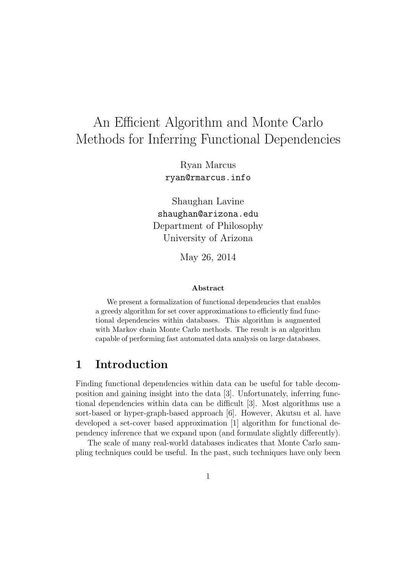# An Efficient Algorithm and Monte Carlo Methods for Inferring Functional Dependencies

Ryan Marcus ryan@rmarcus.info

Shaughan Lavine shaughan@arizona.edu Department of Philosophy University of Arizona

May 26, 2014

#### Abstract

We present a formalization of functional dependencies that enables a greedy algorithm for set cover approximations to efficiently find functional dependencies within databases. This algorithm is augmented with Markov chain Monte Carlo methods. The result is an algorithm capable of performing fast automated data analysis on large databases.

# 1 Introduction

Finding functional dependencies within data can be useful for table decomposition and gaining insight into the data [3]. Unfortunately, inferring functional dependencies within data can be difficult [3]. Most algorithms use a sort-based or hyper-graph-based approach [6]. However, Akutsu et al. have developed a set-cover based approximation [1] algorithm for functional dependency inference that we expand upon (and formulate slightly differently).

The scale of many real-world databases indicates that Monte Carlo sampling techniques could be useful. In the past, such techniques have only been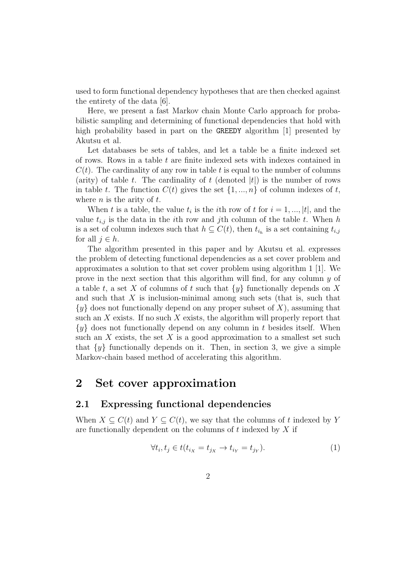used to form functional dependency hypotheses that are then checked against the entirety of the data [6].

Here, we present a fast Markov chain Monte Carlo approach for probabilistic sampling and determining of functional dependencies that hold with high probability based in part on the GREEDY algorithm [1] presented by Akutsu et al.

Let databases be sets of tables, and let a table be a finite indexed set of rows. Rows in a table  $t$  are finite indexed sets with indexes contained in  $C(t)$ . The cardinality of any row in table t is equal to the number of columns (arity) of table t. The cardinality of t (denoted  $|t|$ ) is the number of rows in table t. The function  $C(t)$  gives the set  $\{1, ..., n\}$  of column indexes of t, where  $n$  is the arity of  $t$ .

When t is a table, the value  $t_i$  is the *i*th row of t for  $i = 1, ..., |t|$ , and the value  $t_{i,j}$  is the data in the *i*th row and *j*th column of the table t. When h is a set of column indexes such that  $h \subseteq C(t)$ , then  $t_{i_h}$  is a set containing  $t_{i,j}$ for all  $j \in h$ .

The algorithm presented in this paper and by Akutsu et al. expresses the problem of detecting functional dependencies as a set cover problem and approximates a solution to that set cover problem using algorithm 1 [1]. We prove in the next section that this algorithm will find, for any column y of a table t, a set X of columns of t such that  $\{y\}$  functionally depends on X and such that  $X$  is inclusion-minimal among such sets (that is, such that  $\{y\}$  does not functionally depend on any proper subset of X), assuming that such an  $X$  exists. If no such  $X$  exists, the algorithm will properly report that  $\{y\}$  does not functionally depend on any column in t besides itself. When such an  $X$  exists, the set  $X$  is a good approximation to a smallest set such that  $\{y\}$  functionally depends on it. Then, in section 3, we give a simple Markov-chain based method of accelerating this algorithm.

# 2 Set cover approximation

# 2.1 Expressing functional dependencies

When  $X \subseteq C(t)$  and  $Y \subseteq C(t)$ , we say that the columns of t indexed by Y are functionally dependent on the columns of  $t$  indexed by  $X$  if

$$
\forall t_i, t_j \in t(t_{i_X} = t_{j_X} \to t_{i_Y} = t_{j_Y}).\tag{1}
$$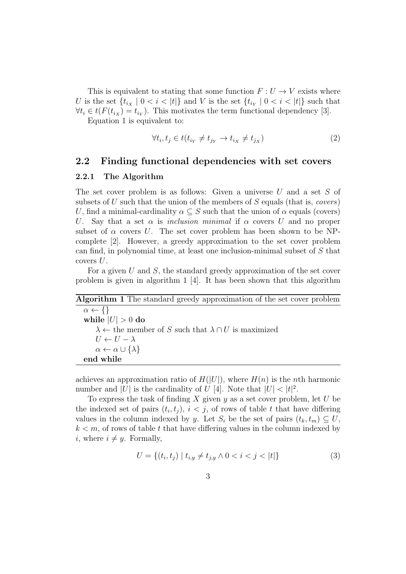This is equivalent to stating that some function  $F: U \to V$  exists where U is the set  $\{t_{i_X} \mid 0 < i < |t|\}$  and V is the set  $\{t_{i_Y} \mid 0 < i < |t|\}$  such that  $\forall t_i \in t(F(t_{i_X}) = t_{i_Y}).$  This motivates the term functional dependency [3].

Equation 1 is equivalent to:

$$
\forall t_i, t_j \in t(t_{i_Y} \neq t_{j_Y} \rightarrow t_{i_X} \neq t_{j_X})
$$
\n
$$
(2)
$$

## 2.2 Finding functional dependencies with set covers

### 2.2.1 The Algorithm

The set cover problem is as follows: Given a universe U and a set S of subsets of U such that the union of the members of S equals (that is, covers) U, find a minimal-cardinality  $\alpha \subset S$  such that the union of  $\alpha$  equals (covers) U. Say that a set  $\alpha$  is inclusion minimal if  $\alpha$  covers U and no proper subset of  $\alpha$  covers U. The set cover problem has been shown to be NPcomplete [2]. However, a greedy approximation to the set cover problem can find, in polynomial time, at least one inclusion-minimal subset of  $S$  that covers U.

For a given U and S, the standard greedy approximation of the set cover problem is given in algorithm 1 [4]. It has been shown that this algorithm

| <b>Algorithm 1</b> The standard greedy approximation of the set cover problem |  |
|-------------------------------------------------------------------------------|--|
| $\alpha \leftarrow \{\}$                                                      |  |
| while $ U  > 0$ do                                                            |  |
| $\lambda \leftarrow$ the member of S such that $\lambda \cap U$ is maximized  |  |
| $U \leftarrow U - \lambda$                                                    |  |
| $\alpha \leftarrow \alpha \cup \{\lambda\}$                                   |  |
| end while                                                                     |  |

achieves an approximation ratio of  $H(|U|)$ , where  $H(n)$  is the *n*th harmonic number and |U| is the cardinality of U [4]. Note that  $|U| < |t|^2$ .

To express the task of finding X given  $y$  as a set cover problem, let U be the indexed set of pairs  $(t_i, t_j)$ ,  $i < j$ , of rows of table t that have differing values in the column indexed by y. Let  $S_i$  be the set of pairs  $(t_k, t_m) \subseteq U$ ,  $k < m$ , of rows of table t that have differing values in the column indexed by *i*, where  $i \neq y$ . Formally,

$$
U = \{(t_i, t_j) \mid t_{i,y} \neq t_{j,y} \land 0 < i < j < |t|\}
$$
\n
$$
(3)
$$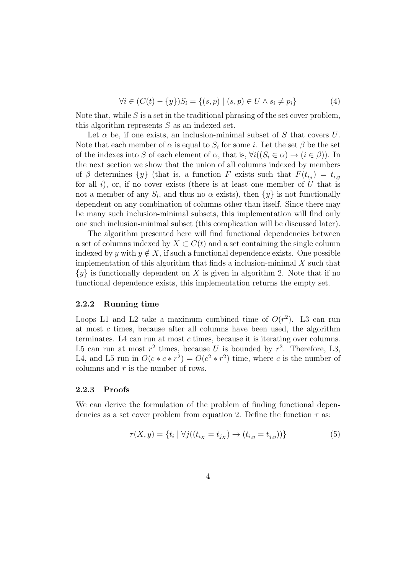$$
\forall i \in (C(t) - \{y\})S_i = \{(s, p) \mid (s, p) \in U \land s_i \neq p_i\}
$$
(4)

Note that, while  $S$  is a set in the traditional phrasing of the set cover problem, this algorithm represents S as an indexed set.

Let  $\alpha$  be, if one exists, an inclusion-minimal subset of S that covers U. Note that each member of  $\alpha$  is equal to  $S_i$  for some *i*. Let the set  $\beta$  be the set of the indexes into S of each element of  $\alpha$ , that is,  $\forall i((S_i \in \alpha) \rightarrow (i \in \beta))$ . In the next section we show that the union of all columns indexed by members of  $\beta$  determines  $\{y\}$  (that is, a function F exists such that  $F(t_{i_{\beta}}) = t_{i,y}$ for all  $i$ ), or, if no cover exists (there is at least one member of  $U$  that is not a member of any  $S_i$ , and thus no  $\alpha$  exists), then  $\{y\}$  is not functionally dependent on any combination of columns other than itself. Since there may be many such inclusion-minimal subsets, this implementation will find only one such inclusion-minimal subset (this complication will be discussed later).

The algorithm presented here will find functional dependencies between a set of columns indexed by  $X \subset C(t)$  and a set containing the single column indexed by y with  $y \notin X$ , if such a functional dependence exists. One possible implementation of this algorithm that finds a inclusion-minimal  $X$  such that  $\{y\}$  is functionally dependent on X is given in algorithm 2. Note that if no functional dependence exists, this implementation returns the empty set.

#### 2.2.2 Running time

Loops L1 and L2 take a maximum combined time of  $O(r^2)$ . L3 can run at most c times, because after all columns have been used, the algorithm terminates. L4 can run at most c times, because it is iterating over columns. L5 can run at most  $r^2$  times, because U is bounded by  $r^2$ . Therefore, L3, L4, and L5 run in  $O(c \times c \times r^2) = O(c^2 \times r^2)$  time, where c is the number of columns and  $r$  is the number of rows.

#### 2.2.3 Proofs

We can derive the formulation of the problem of finding functional dependencies as a set cover problem from equation 2. Define the function  $\tau$  as:

$$
\tau(X, y) = \{ t_i \mid \forall j ((t_{i_X} = t_{j_X}) \to (t_{i, y} = t_{j, y})) \}
$$
(5)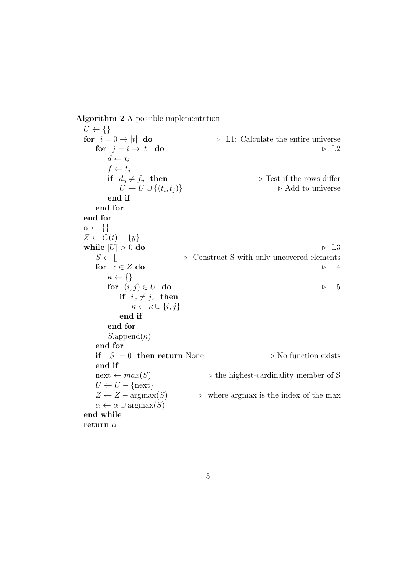Algorithm 2 A possible implementation

 $U \leftarrow \{\}$ for  $i = 0 \rightarrow |t|$  do  $\Box$  L1: Calculate the entire universe for  $j = i \rightarrow |t|$  do  $\Box$   $\Box$  $d \leftarrow t_i$  $f \leftarrow t_i$ if  $d_y \neq f_y$  then  $\triangleright$  Test if the rows differ  $U \leftarrow U \cup \{(t_i, t_j)\}\$  $\triangleright$  Add to universe end if end for end for  $\alpha \leftarrow \{\}$  $Z \leftarrow C(t) - \{y\}$ while  $|U| > 0$  do  $\qquad \qquad \triangleright \text{ L3}$  $S \leftarrow \parallel$   $\triangleright$  Construct S with only uncovered elements for  $x \in Z$  do  $\Rightarrow L4$  $\kappa \leftarrow \{\}$ for  $(i, j) \in U$  do  $\rightarrow L5$ if  $i_x \neq j_x$  then  $\kappa \leftarrow \kappa \cup \{i, j\}$ end if end for  $S.append(\kappa)$ end for if  $|S| = 0$  then return None  $\triangleright$  No function exists end if  $next \leftarrow max(S)$  b the highest-cardinality member of S  $U \leftarrow U - \{next\}$  $Z \leftarrow Z - \text{argmax}(S)$   $\triangleright$  where argmax is the index of the max  $\alpha \leftarrow \alpha \cup \text{argmax}(S)$ end while return  $\alpha$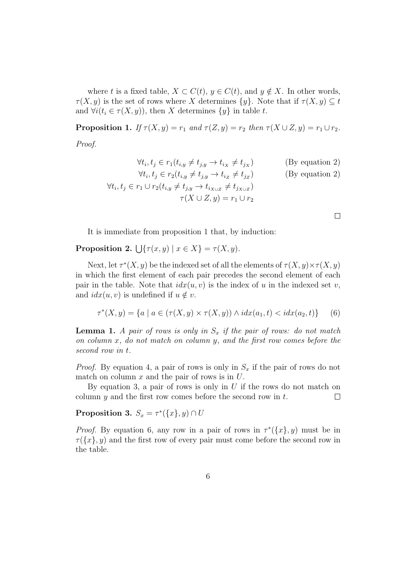where t is a fixed table,  $X \subset C(t)$ ,  $y \in C(t)$ , and  $y \notin X$ . In other words,  $\tau(X, y)$  is the set of rows where X determines  $\{y\}$ . Note that if  $\tau(X, y) \subseteq t$ and  $\forall i (t_i \in \tau(X, y))$ , then X determines  $\{y\}$  in table t.

**Proposition 1.** If  $\tau(X, y) = r_1$  and  $\tau(Z, y) = r_2$  then  $\tau(X \cup Z, y) = r_1 \cup r_2$ . Proof.

$$
\forall t_i, t_j \in r_1(t_{i,y} \neq t_{j,y} \rightarrow t_{i,x} \neq t_{j,x})
$$
 (By equation 2)  
\n
$$
\forall t_i, t_j \in r_2(t_{i,y} \neq t_{j,y} \rightarrow t_{i,z} \neq t_{j,z})
$$
 (By equation 2)  
\n
$$
\forall t_i, t_j \in r_1 \cup r_2(t_{i,y} \neq t_{j,y} \rightarrow t_{i_{X \cup Z}} \neq t_{j_{X \cup Z}})
$$
  
\n
$$
\tau(X \cup Z, y) = r_1 \cup r_2
$$

 $\Box$ 

It is immediate from proposition 1 that, by induction:

**Proposition 2.**  $\bigcup \{\tau(x, y) \mid x \in X\} = \tau(X, y).$ 

Next, let  $\tau^*(X, y)$  be the indexed set of all the elements of  $\tau(X, y) \times \tau(X, y)$ in which the first element of each pair precedes the second element of each pair in the table. Note that  $idx(u, v)$  is the index of u in the indexed set v, and  $idx(u, v)$  is undefined if  $u \notin v$ .

$$
\tau^*(X, y) = \{ a \mid a \in (\tau(X, y) \times \tau(X, y)) \land i dx(a_1, t) < i dx(a_2, t) \} \tag{6}
$$

**Lemma 1.** A pair of rows is only in  $S_x$  if the pair of rows: do not match on column x, do not match on column y, and the first row comes before the second row in t.

*Proof.* By equation 4, a pair of rows is only in  $S_x$  if the pair of rows do not match on column  $x$  and the pair of rows is in  $U$ .

By equation 3, a pair of rows is only in  $U$  if the rows do not match on column  $y$  and the first row comes before the second row in  $t$ .  $\Box$ 

Proposition 3.  $S_x = \tau^*({x}, y) \cap U$ 

*Proof.* By equation 6, any row in a pair of rows in  $\tau^{*}(\{x\}, y)$  must be in  $\tau({x}, y)$  and the first row of every pair must come before the second row in the table.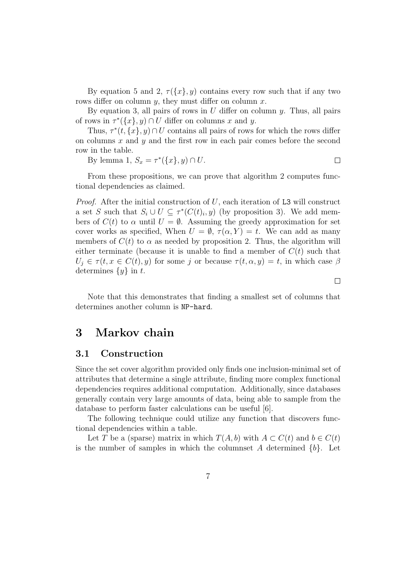By equation 5 and 2,  $\tau({x}, y)$  contains every row such that if any two rows differ on column  $y$ , they must differ on column  $x$ .

By equation 3, all pairs of rows in  $U$  differ on column  $y$ . Thus, all pairs of rows in  $\tau^*(\{x\}, y) \cap U$  differ on columns x and y.

Thus,  $\tau^*(t, \{x\}, y) \cap U$  contains all pairs of rows for which the rows differ on columns  $x$  and  $y$  and the first row in each pair comes before the second row in the table.

By lemma 1,  $S_x = \tau^*(\{x\}, y) \cap U$ .  $\Box$ 

From these propositions, we can prove that algorithm 2 computes functional dependencies as claimed.

*Proof.* After the initial construction of  $U$ , each iteration of L3 will construct a set S such that  $S_i \cup U \subseteq \tau^*(C(t)_i, y)$  (by proposition 3). We add members of  $C(t)$  to  $\alpha$  until  $U = \emptyset$ . Assuming the greedy approximation for set cover works as specified, When  $U = \emptyset$ ,  $\tau(\alpha, Y) = t$ . We can add as many members of  $C(t)$  to  $\alpha$  as needed by proposition 2. Thus, the algorithm will either terminate (because it is unable to find a member of  $C(t)$  such that  $U_j \in \tau(t, x \in C(t), y)$  for some j or because  $\tau(t, \alpha, y) = t$ , in which case  $\beta$ determines  $\{y\}$  in t.

Note that this demonstrates that finding a smallest set of columns that determines another column is NP-hard.

 $\Box$ 

# 3 Markov chain

## 3.1 Construction

Since the set cover algorithm provided only finds one inclusion-minimal set of attributes that determine a single attribute, finding more complex functional dependencies requires additional computation. Additionally, since databases generally contain very large amounts of data, being able to sample from the database to perform faster calculations can be useful [6].

The following technique could utilize any function that discovers functional dependencies within a table.

Let T be a (sparse) matrix in which  $T(A, b)$  with  $A \subset C(t)$  and  $b \in C(t)$ is the number of samples in which the columnset A determined  $\{b\}$ . Let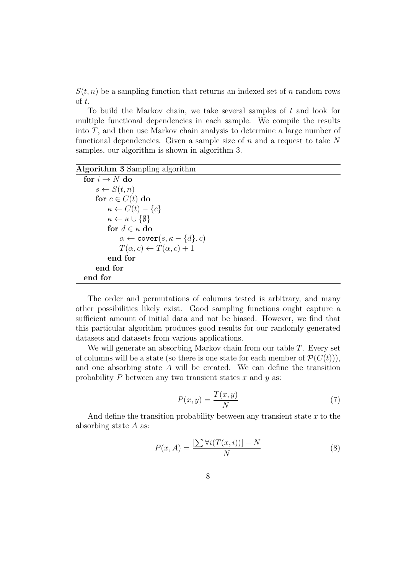$S(t, n)$  be a sampling function that returns an indexed set of n random rows of t.

To build the Markov chain, we take several samples of t and look for multiple functional dependencies in each sample. We compile the results into T, and then use Markov chain analysis to determine a large number of functional dependencies. Given a sample size of  $n$  and a request to take N samples, our algorithm is shown in algorithm 3.

### Algorithm 3 Sampling algorithm

```
for i \rightarrow N do
     s \leftarrow S(t, n)for c \in C(t) do
           \kappa \leftarrow C(t) - \{c\}\kappa \leftarrow \kappa \cup \{\emptyset\}for d \in \kappa do
                 \alpha \leftarrow \texttt{cover}(s, \kappa - \{d\}, c)T(\alpha, c) \leftarrow T(\alpha, c) + 1end for
     end for
end for
```
The order and permutations of columns tested is arbitrary, and many other possibilities likely exist. Good sampling functions ought capture a sufficient amount of initial data and not be biased. However, we find that this particular algorithm produces good results for our randomly generated datasets and datasets from various applications.

We will generate an absorbing Markov chain from our table  $T$ . Every set of columns will be a state (so there is one state for each member of  $\mathcal{P}(C(t))$ ), and one absorbing state A will be created. We can define the transition probability  $P$  between any two transient states  $x$  and  $y$  as:

$$
P(x,y) = \frac{T(x,y)}{N}
$$
 (7)

And define the transition probability between any transient state  $x$  to the absorbing state A as:

$$
P(x, A) = \frac{\left[\sum \forall i (T(x, i))\right] - N}{N} \tag{8}
$$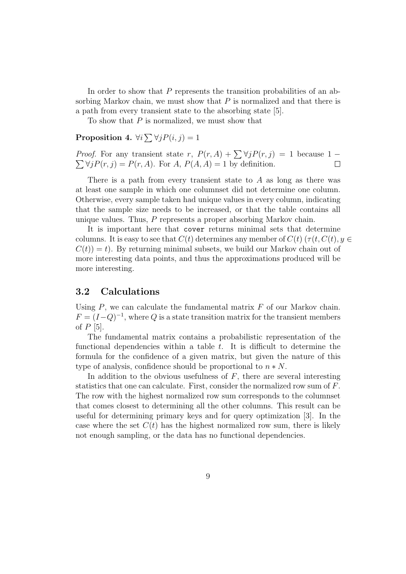In order to show that P represents the transition probabilities of an absorbing Markov chain, we must show that  $P$  is normalized and that there is a path from every transient state to the absorbing state [5].

To show that  $P$  is normalized, we must show that

### **Proposition 4.**  $\forall i \sum \forall j P(i, j) = 1$

*Proof.* For any transient state r,  $P(r, A) + \sum \forall j P(r, j) = 1$  because 1 –  $\sum \forall j P(r, j) = P(r, A)$ . For  $A, P(A, A) = 1$  by definition.  $\Box$ 

There is a path from every transient state to  $A$  as long as there was at least one sample in which one columnset did not determine one column. Otherwise, every sample taken had unique values in every column, indicating that the sample size needs to be increased, or that the table contains all unique values. Thus, P represents a proper absorbing Markov chain.

It is important here that cover returns minimal sets that determine columns. It is easy to see that  $C(t)$  determines any member of  $C(t)$  ( $\tau(t, C(t), y \in$  $C(t) = t$ . By returning minimal subsets, we build our Markov chain out of more interesting data points, and thus the approximations produced will be more interesting.

### 3.2 Calculations

Using  $P$ , we can calculate the fundamental matrix  $F$  of our Markov chain.  $F = (I - Q)^{-1}$ , where Q is a state transition matrix for the transient members of  $P$  [5].

The fundamental matrix contains a probabilistic representation of the functional dependencies within a table  $t$ . It is difficult to determine the formula for the confidence of a given matrix, but given the nature of this type of analysis, confidence should be proportional to  $n * N$ .

In addition to the obvious usefulness of  $F$ , there are several interesting statistics that one can calculate. First, consider the normalized row sum of F. The row with the highest normalized row sum corresponds to the columnset that comes closest to determining all the other columns. This result can be useful for determining primary keys and for query optimization [3]. In the case where the set  $C(t)$  has the highest normalized row sum, there is likely not enough sampling, or the data has no functional dependencies.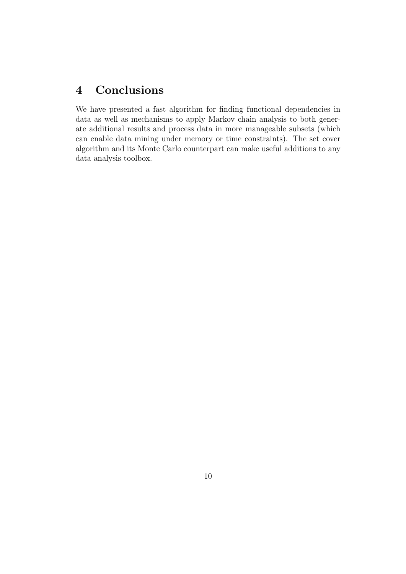# 4 Conclusions

We have presented a fast algorithm for finding functional dependencies in data as well as mechanisms to apply Markov chain analysis to both generate additional results and process data in more manageable subsets (which can enable data mining under memory or time constraints). The set cover algorithm and its Monte Carlo counterpart can make useful additions to any data analysis toolbox.